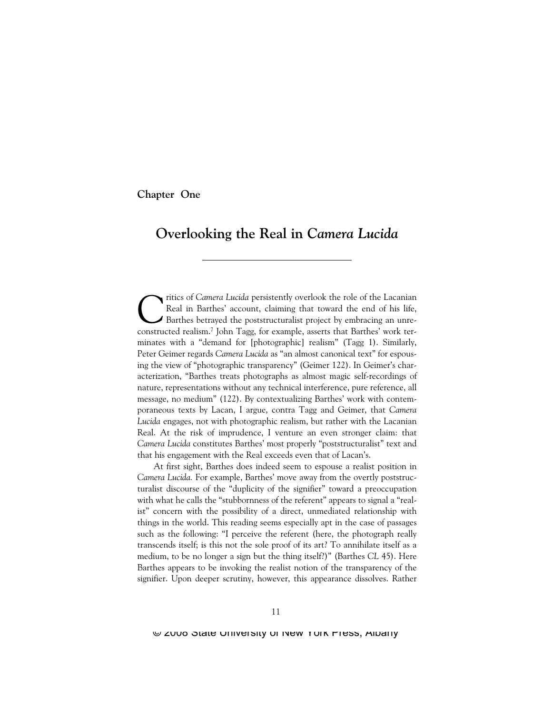## **Chapter One**

## **Overlooking the Real in** *Camera Lucida*

Tritics of *Camera Lucida* persistently overlook the role of the Lacanian<br>Real in Barthes' account, claiming that toward the end of his life,<br>Barthes betrayed the poststructuralist project by embracing an unre-<br>constructed Real in Barthes' account, claiming that toward the end of his life, constructed realism.7 John Tagg, for example, asserts that Barthes' work terminates with a "demand for [photographic] realism" (Tagg 1). Similarly, Peter Geimer regards *Camera Lucida* as "an almost canonical text" for espousing the view of "photographic transparency" (Geimer 122). In Geimer's characterization, "Barthes treats photographs as almost magic self-recordings of nature, representations without any technical interference, pure reference, all message, no medium" (122). By contextualizing Barthes' work with contemporaneous texts by Lacan, I argue, contra Tagg and Geimer, that *Camera Lucida* engages, not with photographic realism, but rather with the Lacanian Real. At the risk of imprudence, I venture an even stronger claim: that *Camera Lucida* constitutes Barthes' most properly "poststructuralist" text and that his engagement with the Real exceeds even that of Lacan's.

At first sight, Barthes does indeed seem to espouse a realist position in *Camera Lucida.* For example, Barthes' move away from the overtly poststructuralist discourse of the "duplicity of the signifier" toward a preoccupation with what he calls the "stubbornness of the referent" appears to signal a "realist" concern with the possibility of a direct, unmediated relationship with things in the world. This reading seems especially apt in the case of passages such as the following: "I perceive the referent (here, the photograph really transcends itself; is this not the sole proof of its art? To annihilate itself as a medium, to be no longer a sign but the thing itself?)" (Barthes *CL* 45). Here Barthes appears to be invoking the realist notion of the transparency of the signifier. Upon deeper scrutiny, however, this appearance dissolves. Rather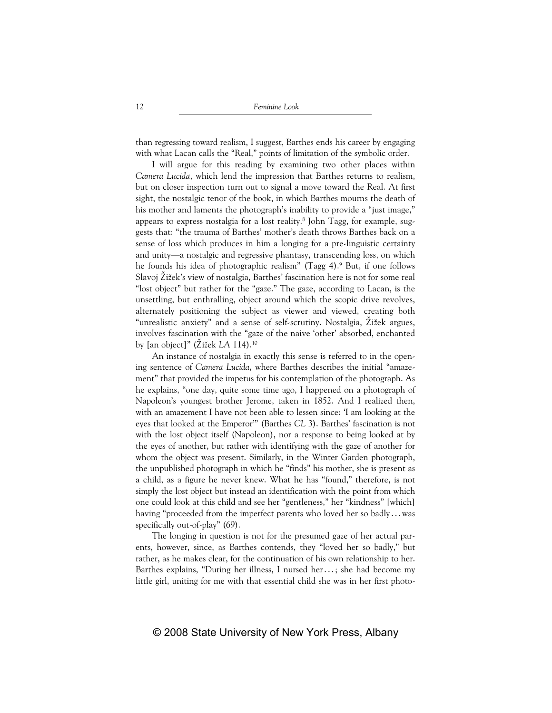than regressing toward realism, I suggest, Barthes ends his career by engaging with what Lacan calls the "Real," points of limitation of the symbolic order.

I will argue for this reading by examining two other places within *Camera Lucida*, which lend the impression that Barthes returns to realism, but on closer inspection turn out to signal a move toward the Real. At first sight, the nostalgic tenor of the book, in which Barthes mourns the death of his mother and laments the photograph's inability to provide a "just image," appears to express nostalgia for a lost reality.8 John Tagg, for example, suggests that: "the trauma of Barthes' mother's death throws Barthes back on a sense of loss which produces in him a longing for a pre-linguistic certainty and unity—a nostalgic and regressive phantasy, transcending loss, on which he founds his idea of photographic realism" (Tagg 4).9 But, if one follows Slavoj Žižek's view of nostalgia, Barthes' fascination here is not for some real "lost object" but rather for the "gaze." The gaze, according to Lacan, is the unsettling, but enthralling, object around which the scopic drive revolves, alternately positioning the subject as viewer and viewed, creating both "unrealistic anxiety" and a sense of self-scrutiny. Nostalgia, Żižek argues, involves fascination with the "gaze of the naive 'other' absorbed, enchanted by [an object]" (Žižek *LA* 114).<sup>10</sup>

An instance of nostalgia in exactly this sense is referred to in the opening sentence of *Camera Lucida*, where Barthes describes the initial "amazement" that provided the impetus for his contemplation of the photograph. As he explains, "one day, quite some time ago, I happened on a photograph of Napoleon's youngest brother Jerome, taken in 1852. And I realized then, with an amazement I have not been able to lessen since: 'I am looking at the eyes that looked at the Emperor'" (Barthes *CL* 3). Barthes' fascination is not with the lost object itself (Napoleon), nor a response to being looked at by the eyes of another, but rather with identifying with the gaze of another for whom the object was present. Similarly, in the Winter Garden photograph, the unpublished photograph in which he "finds" his mother, she is present as a child, as a figure he never knew. What he has "found," therefore, is not simply the lost object but instead an identification with the point from which one could look at this child and see her "gentleness," her "kindness" [which] having "proceeded from the imperfect parents who loved her so badly...was specifically out-of-play" (69).

The longing in question is not for the presumed gaze of her actual parents, however, since, as Barthes contends, they "loved her so badly," but rather, as he makes clear, for the continuation of his own relationship to her. Barthes explains, "During her illness, I nursed her. . . ; she had become my little girl, uniting for me with that essential child she was in her first photo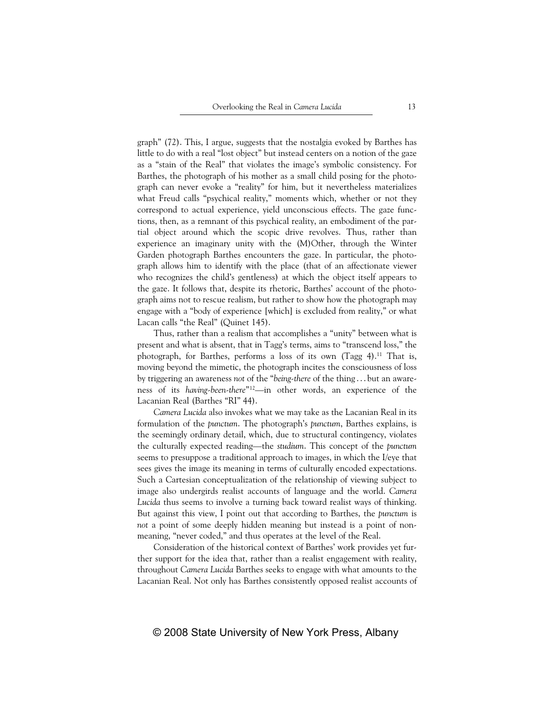graph" (72). This, I argue, suggests that the nostalgia evoked by Barthes has little to do with a real "lost object" but instead centers on a notion of the gaze as a "stain of the Real" that violates the image's symbolic consistency. For Barthes, the photograph of his mother as a small child posing for the photograph can never evoke a "reality" for him, but it nevertheless materializes what Freud calls "psychical reality," moments which, whether or not they correspond to actual experience, yield unconscious effects. The gaze functions, then, as a remnant of this psychical reality, an embodiment of the partial object around which the scopic drive revolves. Thus, rather than experience an imaginary unity with the (M)Other, through the Winter Garden photograph Barthes encounters the gaze. In particular, the photograph allows him to identify with the place (that of an affectionate viewer who recognizes the child's gentleness) at which the object itself appears to the gaze. It follows that, despite its rhetoric, Barthes' account of the photograph aims not to rescue realism, but rather to show how the photograph may engage with a "body of experience [which] is excluded from reality," or what Lacan calls "the Real" (Quinet 145).

Thus, rather than a realism that accomplishes a "unity" between what is present and what is absent, that in Tagg's terms, aims to "transcend loss," the photograph, for Barthes, performs a loss of its own (Tagg 4).11 That is, moving beyond the mimetic, the photograph incites the consciousness of loss by triggering an awareness *not* of the "*being-there* of the thing... but an awareness of its *having-been-there*"12—in other words, an experience of the Lacanian Real (Barthes "RI" 44).

*Camera Lucida* also invokes what we may take as the Lacanian Real in its formulation of the *punctum*. The photograph's *punctum*, Barthes explains, is the seemingly ordinary detail, which, due to structural contingency, violates the culturally expected reading—the *studium*. This concept of the *punctum* seems to presuppose a traditional approach to images, in which the I/eye that sees gives the image its meaning in terms of culturally encoded expectations. Such a Cartesian conceptualization of the relationship of viewing subject to image also undergirds realist accounts of language and the world. *Camera Lucida* thus seems to involve a turning back toward realist ways of thinking. But against this view, I point out that according to Barthes, the *punctum* is not a point of some deeply hidden meaning but instead is a point of nonmeaning, "never coded," and thus operates at the level of the Real.

Consideration of the historical context of Barthes' work provides yet further support for the idea that, rather than a realist engagement with reality, throughout *Camera Lucida* Barthes seeks to engage with what amounts to the Lacanian Real. Not only has Barthes consistently opposed realist accounts of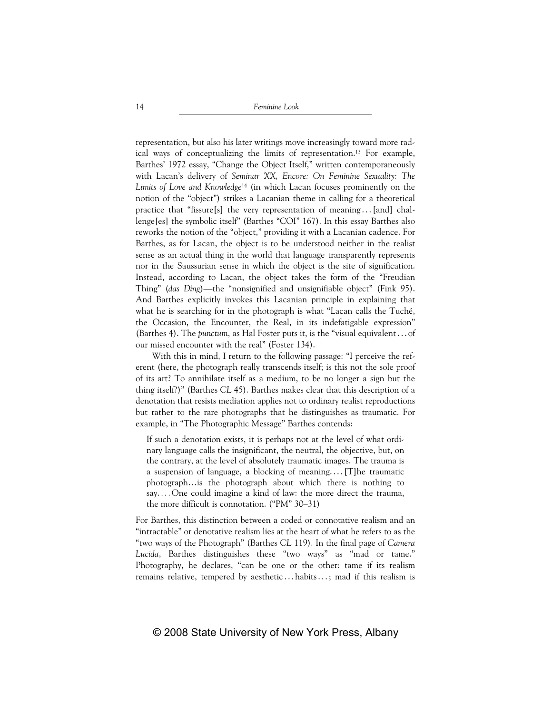representation, but also his later writings move increasingly toward more radical ways of conceptualizing the limits of representation.13 For example, Barthes' 1972 essay, "Change the Object Itself," written contemporaneously with Lacan's delivery of *Seminar XX, Encore: On Feminine Sexuality: The Limits of Love and Knowledge*<sup>14</sup> (in which Lacan focuses prominently on the notion of the "object") strikes a Lacanian theme in calling for a theoretical practice that "fissure[s] the very representation of meaning ...[and] challenge[es] the symbolic itself" (Barthes "COI" 167). In this essay Barthes also reworks the notion of the "object," providing it with a Lacanian cadence. For Barthes, as for Lacan, the object is to be understood neither in the realist sense as an actual thing in the world that language transparently represents nor in the Saussurian sense in which the object is the site of signification. Instead, according to Lacan, the object takes the form of the "Freudian Thing" (*das Ding*)—the "nonsignified and unsignifiable object" (Fink 95). And Barthes explicitly invokes this Lacanian principle in explaining that what he is searching for in the photograph is what "Lacan calls the Tuché, the Occasion, the Encounter, the Real, in its indefatigable expression" (Barthes 4). The *punctum*, as Hal Foster puts it, is the "visual equivalent . . . of our missed encounter with the real" (Foster 134).

With this in mind, I return to the following passage: "I perceive the referent (here, the photograph really transcends itself; is this not the sole proof of its art? To annihilate itself as a medium, to be no longer a sign but the thing itself?)" (Barthes *CL* 45). Barthes makes clear that this description of a denotation that resists mediation applies not to ordinary realist reproductions but rather to the rare photographs that he distinguishes as traumatic. For example, in "The Photographic Message" Barthes contends:

If such a denotation exists, it is perhaps not at the level of what ordinary language calls the insignificant, the neutral, the objective, but, on the contrary, at the level of absolutely traumatic images. The trauma is a suspension of language, a blocking of meaning....[T]he traumatic photograph…is the photograph about which there is nothing to  $say...$  One could imagine a kind of law: the more direct the trauma, the more difficult is connotation. ("PM" 30–31)

For Barthes, this distinction between a coded or connotative realism and an "intractable" or denotative realism lies at the heart of what he refers to as the "two ways of the Photograph" (Barthes *CL* 119). In the final page of *Camera Lucida*, Barthes distinguishes these "two ways" as "mad or tame." Photography, he declares, "can be one or the other: tame if its realism remains relative, tempered by aesthetic... $h$ abits...; mad if this realism is